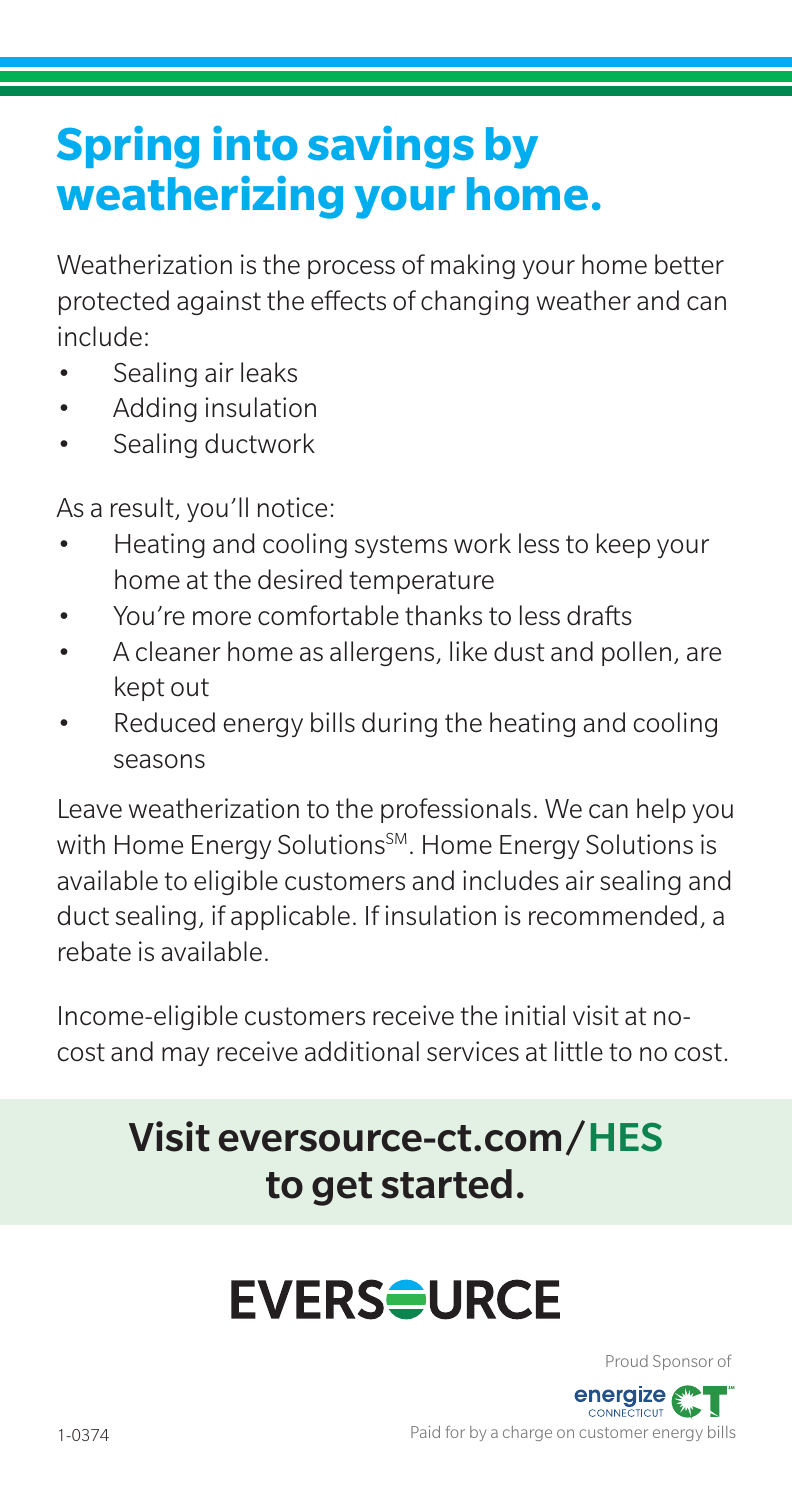### **Spring into savings by weatherizing your home.**

Weatherization is the process of making your home better protected against the effects of changing weather and can include:

- Sealing air leaks
- Adding insulation
- Sealing ductwork

As a result, you'll notice:

- Heating and cooling systems work less to keep your home at the desired temperature
- You're more comfortable thanks to less drafts
- A cleaner home as allergens, like dust and pollen, are kept out
- Reduced energy bills during the heating and cooling seasons

Leave weatherization to the professionals. We can help you with Home Energy Solutions<sup>SM</sup>. Home Energy Solutions is available to eligible customers and includes air sealing and duct sealing, if applicable. If insulation is recommended, a rebate is available.

Income-eligible customers receive the initial visit at nocost and may receive additional services at little to no cost.

#### Visit eversource-ct.com/HES to get started.

# **EVERS<del>Q</del>URCE**

Proud Sponsor of

.<br>ПСШ Paid for by a charge on customer energy bills

energize